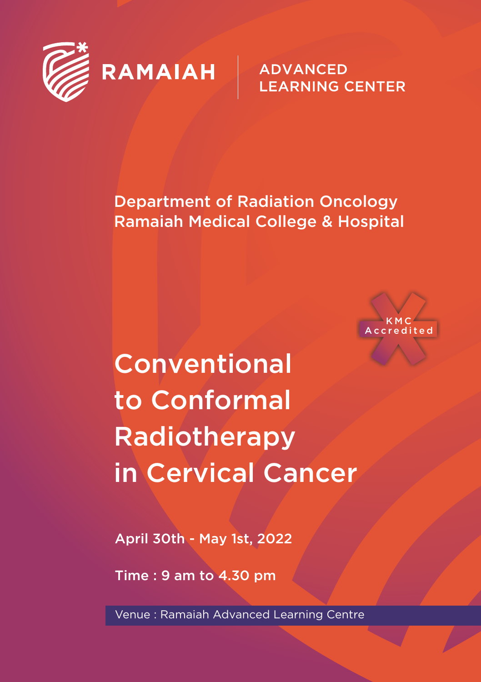

**ADVANCED LEARNING CENTER** 

Department of Radiation Oncology Ramaiah Medical College & Hospital



**Conventional** to Conformal Radiotherapy in Cervical Cancer

April 30th - May 1st, 2022

Time : 9 am to 4.30 pm

Venue : Ramaiah Advanced Learning Centre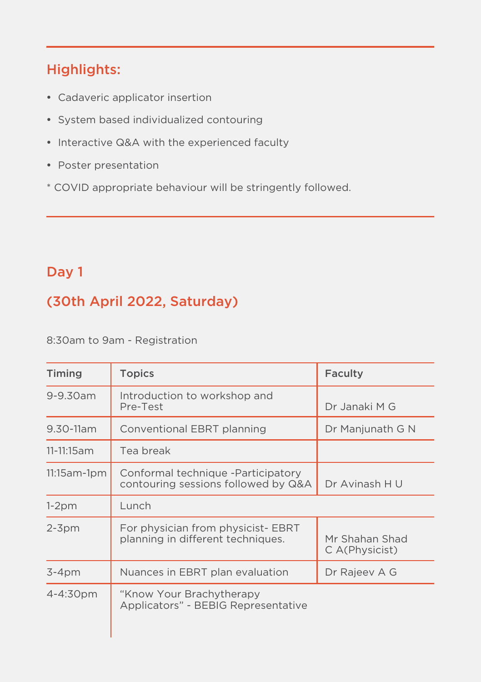## Highlights:

- Cadaveric applicator insertion
- System based individualized contouring
- Interactive Q&A with the experienced faculty
- Poster presentation
- \* COVID appropriate behaviour will be stringently followed.

### Day 1

# (30th April 2022, Saturday)

8:30am to 9am - Registration

| Timing      | <b>Topics</b>                                                             | Faculty                          |
|-------------|---------------------------------------------------------------------------|----------------------------------|
| 9-9.30am    | Introduction to workshop and<br>Pre-Test                                  | Dr Janaki M G                    |
| 9.30-11am   | Conventional EBRT planning                                                | Dr Manjunath G N                 |
| 11-11:15am  | Tea break                                                                 |                                  |
| 11:15am-1pm | Conformal technique -Participatory<br>contouring sessions followed by Q&A | Dr Avinash H U                   |
| $1-2pm$     | Lunch                                                                     |                                  |
| $2-3$ pm    | For physician from physicist- EBRT<br>planning in different techniques.   | Mr Shahan Shad<br>C A(Physicist) |
| $3-4$ pm    | Nuances in EBRT plan evaluation                                           | Dr Rajeev A G                    |
| 4-4:30pm    | "Know Your Brachytherapy<br>Applicators" - BEBIG Representative           |                                  |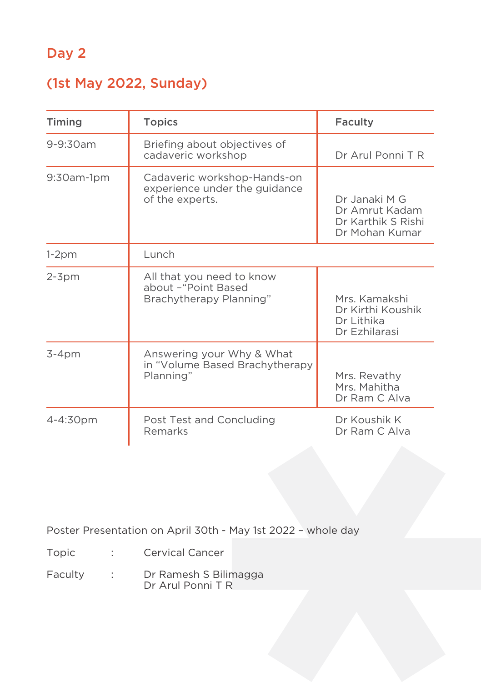### Day 2

### (1st May 2022, Sunday)

| Timing        | <b>Topics</b>                                                                   | Faculty                                                                 |
|---------------|---------------------------------------------------------------------------------|-------------------------------------------------------------------------|
| 9-9:30am      | Briefing about objectives of<br>cadaveric workshop                              | Dr Arul Ponni T R                                                       |
| $9:30$ am-1pm | Cadaveric workshop-Hands-on<br>experience under the guidance<br>of the experts. | Dr Janaki M G<br>Dr Amrut Kadam<br>Dr Karthik S Rishi<br>Dr Mohan Kumar |
| $1-2pm$       | Lunch                                                                           |                                                                         |
| $2-3$ pm      | All that you need to know<br>about -"Point Based<br>Brachytherapy Planning"     | Mrs. Kamakshi<br>Dr Kirthi Koushik<br>Dr Lithika<br>Dr Ezhilarasi       |
| $3-4pm$       | Answering your Why & What<br>in "Volume Based Brachytherapy<br>Planning"        | Mrs. Revathy<br>Mrs. Mahitha<br>Dr Ram C Alva                           |
| 4-4:30pm      | Post Test and Concluding<br>Remarks                                             | Dr Koushik K<br>Dr Ram C Alva                                           |

Poster Presentation on April 30th - May 1st 2022 – whole day

- Topic : Cervical Cancer
- Faculty : Dr Ramesh S Bilimagga Dr Arul Ponni T R